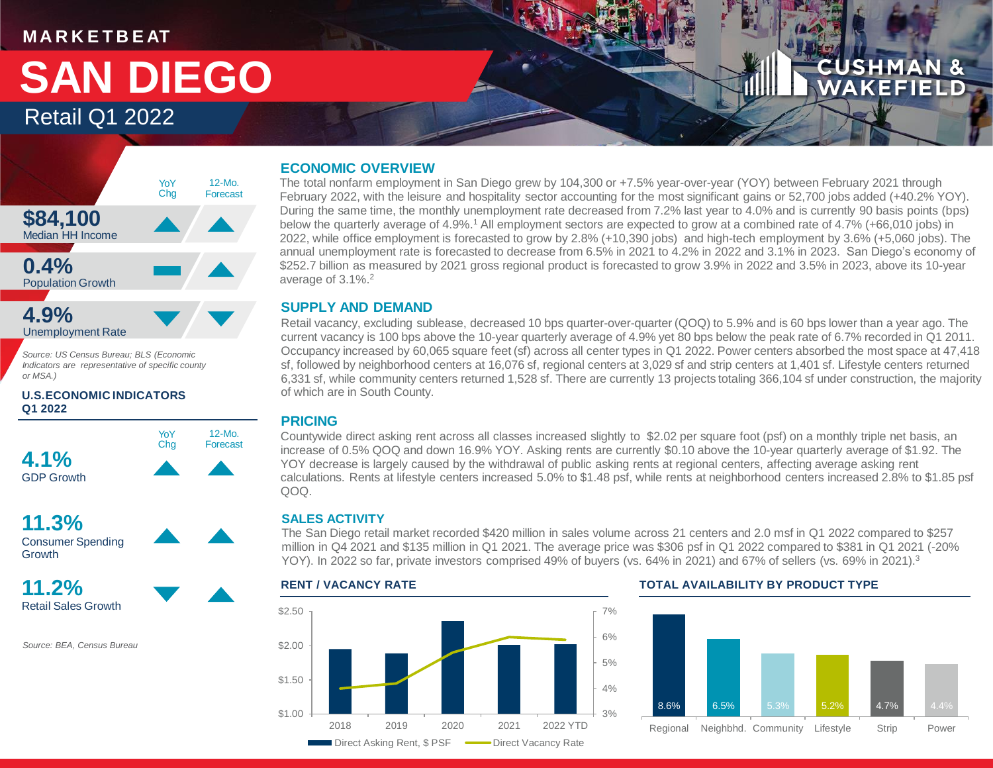### **M A R K E T B E AT**

# Retail Q1 2022 **SAN DIEGO**

## **CUSHMAN &** WAKEFIEL



*Source: US Census Bureau; BLS (Economic Indicators are representative of specific county or MSA.)*

#### **U.S.ECONOMIC INDICATORS Q1 2022**





**11.2%** Retail Sales Growth

*Source: BEA, Census Bureau*

#### **ECONOMIC OVERVIEW**

The total nonfarm employment in San Diego grew by 104,300 or +7.5% year-over-year (YOY) between February 2021 through February 2022, with the leisure and hospitality sector accounting for the most significant gains or 52,700 jobs added (+40.2% YOY). During the same time, the monthly unemployment rate decreased from 7.2% last year to 4.0% and is currently 90 basis points (bps) below the quarterly average of 4.9%.<sup>1</sup> All employment sectors are expected to grow at a combined rate of 4.7% (+66,010 jobs) in 2022, while office employment is forecasted to grow by 2.8% (+10,390 jobs) and high-tech employment by 3.6% (+5,060 jobs). The annual unemployment rate is forecasted to decrease from 6.5% in 2021 to 4.2% in 2022 and 3.1% in 2023. San Diego's economy of \$252.7 billion as measured by 2021 gross regional product is forecasted to grow 3.9% in 2022 and 3.5% in 2023, above its 10-year average of 3.1%.<sup>2</sup>

#### **SUPPLY AND DEMAND**

Retail vacancy, excluding sublease, decreased 10 bps quarter-over-quarter (QOQ) to 5.9% and is 60 bps lower than a year ago. The current vacancy is 100 bps above the 10-year quarterly average of 4.9% yet 80 bps below the peak rate of 6.7% recorded in Q1 2011. Occupancy increased by 60,065 square feet (sf) across all center types in Q1 2022. Power centers absorbed the most space at 47,418 sf, followed by neighborhood centers at 16,076 sf, regional centers at 3,029 sf and strip centers at 1,401 sf. Lifestyle centers returned 6,331 sf, while community centers returned 1,528 sf. There are currently 13 projects totaling 366,104 sf under construction, the majority of which are in South County.

#### **PRICING**

Countywide direct asking rent across all classes increased slightly to \$2.02 per square foot (psf) on a monthly triple net basis, an increase of 0.5% QOQ and down 16.9% YOY. Asking rents are currently \$0.10 above the 10-year quarterly average of \$1.92. The YOY decrease is largely caused by the withdrawal of public asking rents at regional centers, affecting average asking rent calculations. Rents at lifestyle centers increased 5.0% to \$1.48 psf, while rents at neighborhood centers increased 2.8% to \$1.85 psf QOQ.

#### **SALES ACTIVITY**

The San Diego retail market recorded \$420 million in sales volume across 21 centers and 2.0 msf in Q1 2022 compared to \$257 million in Q4 2021 and \$135 million in Q1 2021. The average price was \$306 psf in Q1 2022 compared to \$381 in Q1 2021 (-20% YOY). In 2022 so far, private investors comprised 49% of buyers (vs. 64% in 2021) and 67% of sellers (vs. 69% in 2021).<sup>3</sup>



#### **RENT / VACANCY RATE TOTAL AVAILABILITY BY PRODUCT TYPE**